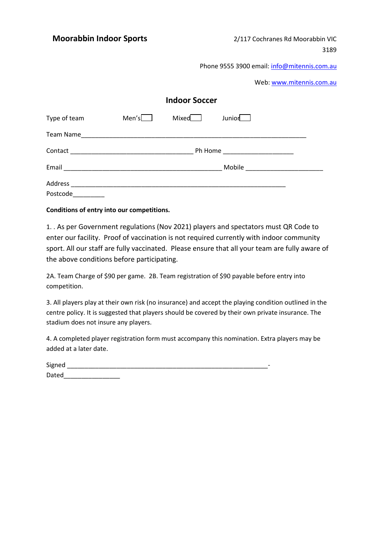Phone 9555 3900 email: [info@mitennis.com.](mailto:info@mitennis.com)au

Web: [www.mitennis.com.](http://www.mitennis.com/)au

| <b>Indoor Soccer</b> |              |       |                                  |  |  |  |
|----------------------|--------------|-------|----------------------------------|--|--|--|
| Type of team         | Men's $\Box$ | Mixed | Junior <sub>L</sub>              |  |  |  |
|                      |              |       |                                  |  |  |  |
|                      |              |       | Ph Home ________________________ |  |  |  |
|                      |              |       |                                  |  |  |  |
|                      |              |       |                                  |  |  |  |
| Postcode             |              |       |                                  |  |  |  |

### **Conditions of entry into our competitions.**

1. . As per Government regulations (Nov 2021) players and spectators must QR Code to enter our facility. Proof of vaccination is not required currently with indoor community sport. All our staff are fully vaccinated. Please ensure that all your team are fully aware of the above conditions before participating.

2A. Team Charge of \$90 per game. 2B. Team registration of \$90 payable before entry into competition.

3. All players play at their own risk (no insurance) and accept the playing condition outlined in the centre policy. It is suggested that players should be covered by their own private insurance. The stadium does not insure any players.

4. A completed player registration form must accompany this nomination. Extra players may be added at a later date.

| Signed |  |
|--------|--|
| Dated  |  |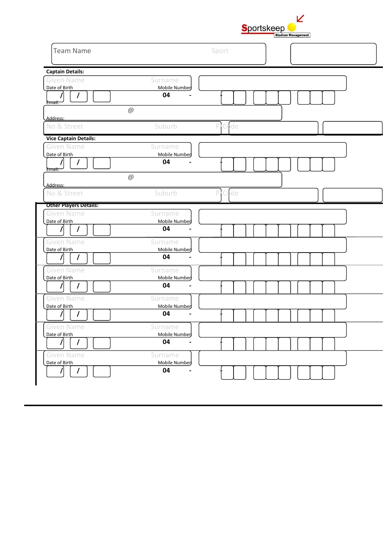| <b>Sportskeep</b> |                           |  |
|-------------------|---------------------------|--|
|                   | <b>Stadium Management</b> |  |

| <b>Team Name</b>                                                                         |                                                            | Sport       |  |
|------------------------------------------------------------------------------------------|------------------------------------------------------------|-------------|--|
| <b>Captain Details:</b><br><b>Given Name</b><br>Date of Birth<br>I<br>Email:             | Surname<br>Mobile Number<br>04<br>$\omega$                 |             |  |
| Address:<br>No & Street                                                                  | Suburb                                                     | Code<br>P   |  |
| <b>Vice Captain Details:</b><br><b>Given Name</b><br>Date of Birth<br>$\prime$<br>Email: | Surname<br>Mobile Number:<br>04<br>$\circledcirc$          |             |  |
| Address:<br>No & Street                                                                  | Suburb                                                     | 'Code<br>P, |  |
| <b>Other Players Details:</b><br><b>Given Name</b><br>Date of Birth<br>$\prime$          | Surname<br>Mobile Number<br>04                             |             |  |
| <b>Given Name</b><br>Date of Birth<br>T                                                  | Surname<br>Mobile Number<br>04                             |             |  |
| <b>Given Name</b><br>Date of Birth                                                       | Surname<br>Mobile Number:<br>04                            |             |  |
| <b>Given Name</b><br>Date of Birth<br>$\prime$                                           | Surname<br>Mobile Number<br>04                             |             |  |
| <b>Given Name</b><br>Date of Birth<br>7                                                  | Surname<br>Mobile Number<br>04                             |             |  |
| <b>Given Name</b><br>Date of Birth<br>$\prime$<br>I                                      | Surname<br>Mobile Number<br>04<br>$\overline{\phantom{a}}$ |             |  |